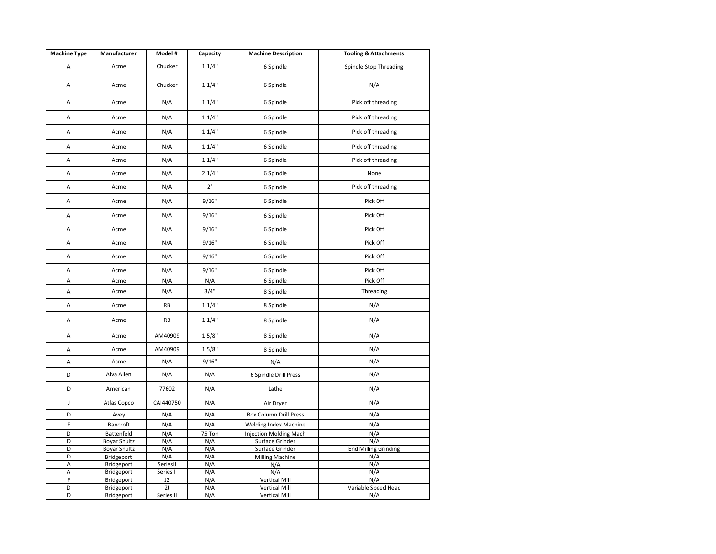| <b>Machine Type</b> | Manufacturer             | Model #   | Capacity   | <b>Machine Description</b>                   | <b>Tooling &amp; Attachments</b> |
|---------------------|--------------------------|-----------|------------|----------------------------------------------|----------------------------------|
| A                   | Acme                     | Chucker   | 11/4"      | 6 Spindle                                    | Spindle Stop Threading           |
| Α                   | Acme                     | Chucker   | 11/4"      | 6 Spindle                                    | N/A                              |
| Α                   | Acme                     | N/A       | 11/4"      | 6 Spindle                                    | Pick off threading               |
| A                   | Acme                     | N/A       | 11/4"      | 6 Spindle                                    | Pick off threading               |
| Α                   | Acme                     | N/A       | 11/4"      | 6 Spindle                                    | Pick off threading               |
| A                   | Acme                     | N/A       | 11/4"      | 6 Spindle                                    | Pick off threading               |
| Α                   | Acme                     | N/A       | 11/4"      | 6 Spindle                                    | Pick off threading               |
| Α                   | Acme                     | N/A       | 21/4"      | 6 Spindle                                    | None                             |
| A                   | Acme                     | N/A       | 2"         | 6 Spindle                                    | Pick off threading               |
| Α                   | Acme                     | N/A       | 9/16"      | 6 Spindle                                    | Pick Off                         |
| Α                   | Acme                     | N/A       | 9/16"      | 6 Spindle                                    | Pick Off                         |
| Α                   | Acme                     | N/A       | 9/16"      | 6 Spindle                                    | Pick Off                         |
| A                   | Acme                     | N/A       | 9/16"      | 6 Spindle                                    | Pick Off                         |
| A                   | Acme                     | N/A       | 9/16"      | 6 Spindle                                    | Pick Off                         |
| Α                   | Acme                     | N/A       | 9/16"      | 6 Spindle                                    | Pick Off                         |
| Α                   | Acme                     | N/A       | N/A        | 6 Spindle                                    | Pick Off                         |
| Α                   | Acme                     | N/A       | 3/4"       | 8 Spindle                                    | Threading                        |
| Α                   | Acme                     | <b>RB</b> | 11/4"      | 8 Spindle                                    | N/A                              |
| Α                   | Acme                     | <b>RB</b> | 11/4"      | 8 Spindle                                    | N/A                              |
| Α                   | Acme                     | AM40909   | 15/8"      | 8 Spindle                                    | N/A                              |
| Α                   | Acme                     | AM40909   | 15/8"      | 8 Spindle                                    | N/A                              |
| A                   | Acme                     | N/A       | 9/16"      | N/A                                          | N/A                              |
| D                   | Alva Allen               | N/A       | N/A        | 6 Spindle Drill Press                        | N/A                              |
| D                   | American                 | 77602     | N/A        | Lathe                                        | N/A                              |
| J                   | Atlas Copco              | CAI440750 | N/A        | Air Dryer                                    | N/A                              |
| D                   | Avey                     | N/A       | N/A        | <b>Box Column Drill Press</b>                | N/A                              |
| F                   | Bancroft                 | N/A       | N/A        | <b>Welding Index Machine</b>                 | N/A                              |
| D                   | Battenfeld               | N/A       | 75 Ton     | <b>Injection Molding Mach</b>                | N/A                              |
| D                   | <b>Boyar Shultz</b>      | N/A       | N/A        | Surface Grinder                              | N/A                              |
| D                   | <b>Boyar Shultz</b>      | N/A       | N/A        | Surface Grinder                              | <b>End Milling Grinding</b>      |
| D                   | Bridgeport               | N/A       | N/A        | <b>Milling Machine</b>                       | N/A                              |
| Α                   | Bridgeport               | SeriesII  | N/A        | N/A                                          | N/A                              |
| A                   | Bridgeport               | Series I  | N/A        | N/A                                          | N/A                              |
| F<br>D              | Bridgeport<br>Bridgeport | J2<br>2J  | N/A<br>N/A | <b>Vertical Mill</b><br><b>Vertical Mill</b> | N/A<br>Variable Speed Head       |
| D                   | Bridgeport               | Series II | N/A        | <b>Vertical Mill</b>                         | N/A                              |
|                     |                          |           |            |                                              |                                  |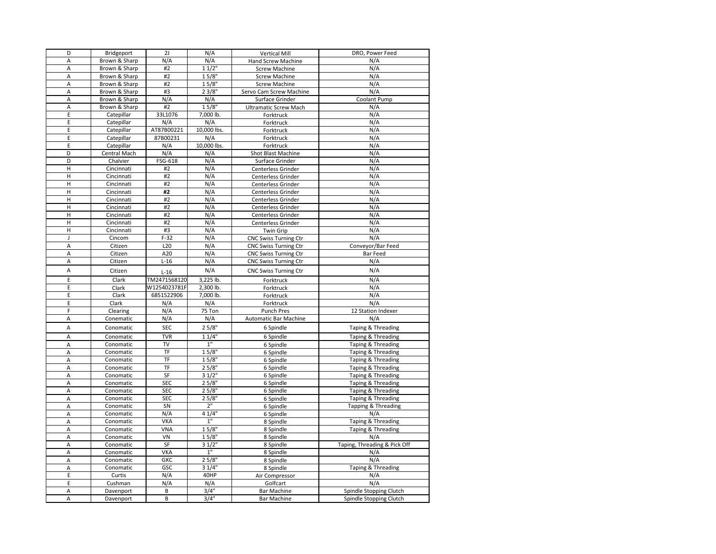| D              | Bridgeport           | 2J           | N/A         | <b>Vertical Mill</b>                                         | DRO, Power Feed               |
|----------------|----------------------|--------------|-------------|--------------------------------------------------------------|-------------------------------|
| A              | Brown & Sharp        | N/A          | N/A         | Hand Screw Machine                                           | N/A                           |
| A              | Brown & Sharp        | #2           | $11/2$ "    | <b>Screw Machine</b>                                         | N/A                           |
| Α              | Brown & Sharp        | #2           | 15/8"       | <b>Screw Machine</b>                                         | N/A                           |
| A              | Brown & Sharp        | #2           | 15/8"       | <b>Screw Machine</b>                                         | N/A                           |
| A              | Brown & Sharp        | #3           | 23/8"       | Servo Cam Screw Machine                                      | N/A                           |
| A              | Brown & Sharp        | N/A          | N/A         | Surface Grinder                                              | Coolant Pump                  |
| A              | Brown & Sharp        | #2           | 15/8"       | <b>Ultramatic Screw Mach</b>                                 | N/A                           |
| E              | Catepillar           | 33L1076      | 7,000 lb.   | Forktruck                                                    | N/A                           |
| E              | Catepillar           | N/A          | N/A         | Forktruck                                                    | N/A                           |
| E              | Catepillar           | AT87B00221   | 10,000 lbs. | Forktruck                                                    | N/A                           |
| E              | Catepillar           | 87B00231     | N/A         | Forktruck                                                    | N/A                           |
| E              | Catepillar           | N/A          | 10,000 lbs. | Forktruck                                                    | N/A                           |
| D              | Central Mach         | N/A          | N/A         | Shot Blast Machine                                           | N/A                           |
| D              | Chalvier             | FSG-618      | N/A         | Surface Grinder                                              | N/A                           |
| H              | Cincinnati           | #2           | N/A         | Centerless Grinder                                           | N/A                           |
| H              | Cincinnati           | #2           | N/A         | Centerless Grinder                                           | N/A                           |
| H              | Cincinnati           | #2           | N/A         | Centerless Grinder                                           | N/A                           |
| H              | Cincinnati           | #2           | N/A         | Centerless Grinder                                           | N/A                           |
| $\overline{H}$ | Cincinnati           | #2           | N/A         | Centerless Grinder                                           | N/A                           |
| H              | Cincinnati           | #2           | N/A         | Centerless Grinder                                           | N/A                           |
| H              | Cincinnati           | #2           | N/A         | Centerless Grinder                                           | N/A                           |
| Н              | Cincinnati           | #2           | N/A         | Centerless Grinder                                           | N/A                           |
| $\sf H$        | Cincinnati           | #3           | N/A         | <b>Twin Grip</b>                                             | N/A                           |
| J              | Cincom               | $F-32$       | N/A         |                                                              | N/A                           |
| A              | Citizen              | L20          | N/A         | <b>CNC Swiss Turning Ctr</b><br><b>CNC Swiss Turning Ctr</b> | Conveyor/Bar Feed             |
| А              | Citizen              | A20          | N/A         | <b>CNC Swiss Turning Ctr</b>                                 | <b>Bar Feed</b>               |
| А              | Citizen              | $L-16$       | N/A         | <b>CNC Swiss Turning Ctr</b>                                 | N/A                           |
|                |                      |              |             |                                                              |                               |
| A              | Citizen              | $L-16$       | N/A         | <b>CNC Swiss Turning Ctr</b>                                 | N/A                           |
| E              | Clark                | TM2471568120 | 3,225 lb.   | Forktruck                                                    | N/A                           |
| E              | Clark                | W1254023781F | 2,300 lb.   | Forktruck                                                    | N/A                           |
| E              | Clark                | 6851522906   | 7,000 lb.   | Forktruck                                                    | N/A                           |
| E              | Clark                | N/A          | N/A         | Forktruck                                                    | N/A                           |
| F              | Clearing             | N/A          | 75 Ton      | Punch Pres                                                   | 12 Station Indexer            |
| A              | Conematic            | N/A          | N/A         | Automatic Bar Machine                                        | N/A                           |
| A              | Conomatic            | <b>SEC</b>   | 25/8"       | 6 Spindle                                                    | Taping & Threading            |
| A              | Conomatic            | <b>TVR</b>   | 11/4"       | 6 Spindle                                                    | Taping & Threading            |
| Α              | Conomatic            | TV           | 1"          | 6 Spindle                                                    | Taping & Threading            |
| A              | Conomatic            | <b>TF</b>    | $15/8$ "    | 6 Spindle                                                    | Taping & Threading            |
| A              | Conomatic            | TF           | 15/8"       | 6 Spindle                                                    | <b>Taping &amp; Threading</b> |
| A              | Conomatic            | TF           | 25/8"       | 6 Spindle                                                    | Taping & Threading            |
| A              | Conomatic            | SF           | 31/2"       | 6 Spindle                                                    | Taping & Threading            |
| Α              | Conomatic            | <b>SEC</b>   | 25/8"       | 6 Spindle                                                    | Taping & Threading            |
| A              | Conomatic            | <b>SEC</b>   | 25/8"       | 6 Spindle                                                    | Taping & Threading            |
| Α              | Conomatic            | <b>SEC</b>   | 25/8"       | 6 Spindle                                                    | Taping & Threading            |
| A              | Conomatic            | SN           | 2"          | 6 Spindle                                                    | Tapping & Threading           |
| A              | Conomatic            | N/A          | 41/4"       | 6 Spindle                                                    | N/A                           |
| A              | Conomatic            | <b>VKA</b>   | 1"          | 8 Spindle                                                    | Taping & Threading            |
| A              | Conomatic            | VNA          | 15/8"       | 8 Spindle                                                    | Taping & Threading            |
| A              | Conomatic            | VN           | 15/8"       | 8 Spindle                                                    | N/A                           |
| A              | Conomatic            | SF           | 31/2"       | 8 Spindle                                                    | Taping, Threading & Pick Off  |
| A              | Conomatic            | <b>VKA</b>   | 1"          | 8 Spindle                                                    | N/A                           |
| A              | Conomatic            | <b>GKC</b>   | 25/8"       | 8 Spindle                                                    | N/A                           |
| A              | Conomatic            | GSC          | 31/4"       | 8 Spindle                                                    | Taping & Threading            |
| E              | Curtis               | N/A          | 40HP        |                                                              | N/A                           |
| E              |                      | N/A          | N/A         | Air Compressor<br>Golfcart                                   | N/A                           |
|                | Cushman<br>Davenport | B            | 3/4"        | <b>Bar Machine</b>                                           | Spindle Stopping Clutch       |
| A              |                      |              |             |                                                              |                               |
| A              | Davenport            | B            | 3/4"        | <b>Bar Machine</b>                                           | Spindle Stopping Clutch       |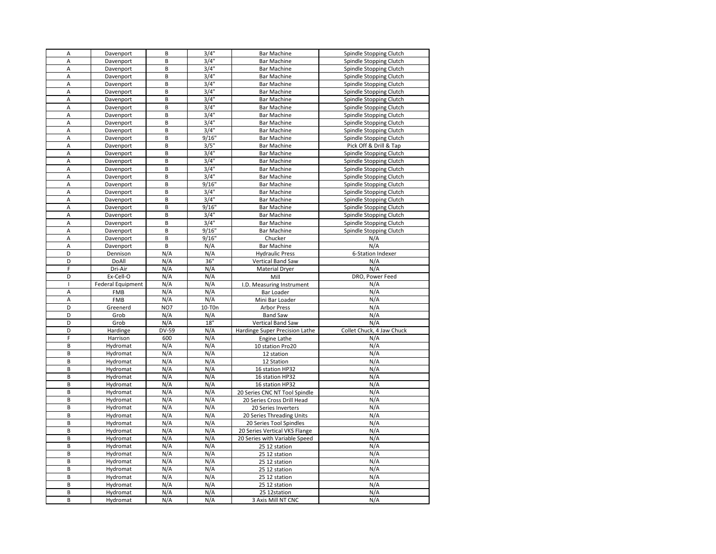| A              | Davenport                | B            | $3/4$ "            | <b>Bar Machine</b>                 | Spindle Stopping Clutch   |
|----------------|--------------------------|--------------|--------------------|------------------------------------|---------------------------|
| A              | Davenport                | B            | 3/4"               | <b>Bar Machine</b>                 | Spindle Stopping Clutch   |
| A              | Davenport                | B            | 3/4"               | <b>Bar Machine</b>                 | Spindle Stopping Clutch   |
| Α              | Davenport                | B            | 3/4"               | <b>Bar Machine</b>                 | Spindle Stopping Clutch   |
| A              | Davenport                | B            | 3/4"               | <b>Bar Machine</b>                 | Spindle Stopping Clutch   |
| A              | Davenport                | B            | 3/4"               | <b>Bar Machine</b>                 | Spindle Stopping Clutch   |
| A              | Davenport                | B            | 3/4"               | <b>Bar Machine</b>                 | Spindle Stopping Clutch   |
| A              | Davenport                | B            | 3/4"               | <b>Bar Machine</b>                 | Spindle Stopping Clutch   |
| A              | Davenport                | B            | 3/4"               | <b>Bar Machine</b>                 | Spindle Stopping Clutch   |
| A              | Davenport                | B            | 3/4"               | <b>Bar Machine</b>                 | Spindle Stopping Clutch   |
| A              | Davenport                | B            | 3/4"               | <b>Bar Machine</b>                 | Spindle Stopping Clutch   |
| A              | Davenport                | B            | 9/16"              | <b>Bar Machine</b>                 | Spindle Stopping Clutch   |
| A              | Davenport                | B            | 3/5"               | <b>Bar Machine</b>                 | Pick Off & Drill & Tap    |
| A              | Davenport                | B            | 3/4"               | <b>Bar Machine</b>                 | Spindle Stopping Clutch   |
| $\mathsf A$    | Davenport                | B            | 3/4"               | <b>Bar Machine</b>                 | Spindle Stopping Clutch   |
| A              | Davenport                | B            | $3/4$ <sup>"</sup> | <b>Bar Machine</b>                 | Spindle Stopping Clutch   |
| A              | Davenport                | B            | 3/4"               | <b>Bar Machine</b>                 | Spindle Stopping Clutch   |
| A              | Davenport                | B            | 9/16"              | <b>Bar Machine</b>                 | Spindle Stopping Clutch   |
| A              | Davenport                | B            | 3/4"               | <b>Bar Machine</b>                 | Spindle Stopping Clutch   |
| A              | Davenport                | B            | 3/4"               | <b>Bar Machine</b>                 | Spindle Stopping Clutch   |
| A              | Davenport                | B            | 9/16"              | <b>Bar Machine</b>                 | Spindle Stopping Clutch   |
| A              | Davenport                | B            | 3/4"               | <b>Bar Machine</b>                 | Spindle Stopping Clutch   |
| A              | Davenport                | B            | 3/4"               | <b>Bar Machine</b>                 | Spindle Stopping Clutch   |
| A              | Davenport                | B            | 9/16"              | Bar Machine                        | Spindle Stopping Clutch   |
| A              | Davenport                | B            | 9/16"              | Chucker                            | N/A                       |
| A              | Davenport                | B            | N/A                | <b>Bar Machine</b>                 | N/A                       |
| D              | Dennison                 | N/A          | N/A                | <b>Hydraulic Press</b>             | 6-Station Indexer         |
| D              | DoAll                    | N/A          | 36"                | Vertical Band Saw                  | N/A                       |
| F              | Dri-Air                  | N/A          | N/A                | <b>Material Dryer</b>              | N/A                       |
| D              | Ex-Cell-O                | N/A          | N/A                | Mill                               | DRO, Power Feed           |
| $\mathbf{I}$   | <b>Federal Equipment</b> | N/A          | N/A                | I.D. Measuring Instrument          | N/A                       |
|                |                          |              |                    |                                    |                           |
| A              | FMB                      | N/A          | N/A                | <b>Bar Loader</b>                  | N/A                       |
| A              | FMB                      | N/A          | N/A                | Mini Bar Loader                    | N/A                       |
| D              | Greenerd                 | NO7          | 10-T0n             | <b>Arbor Press</b>                 | N/A                       |
| D              | Grob                     | N/A          | N/A                | <b>Band Saw</b>                    | N/A                       |
| D              | Grob                     | N/A          | 18"                | Vertical Band Saw                  | N/A                       |
| D              | Hardinge                 | <b>DV-59</b> | N/A                | Hardinge Super Precision Lathe     | Collet Chuck, 4 Jaw Chuck |
| F              | Harrison                 | 600          | N/A                | <b>Engine Lathe</b>                | N/A                       |
| B              | Hydromat                 | N/A          | N/A                | 10 station Pro20                   | N/A                       |
| B              | Hydromat                 | N/A          | N/A                | 12 station                         | N/A                       |
| B              | Hydromat                 | N/A          | N/A                | 12 Station                         | N/A                       |
| $\overline{B}$ | Hydromat                 | N/A          | N/A                | 16 station HP32                    | N/A                       |
| B              | Hydromat                 | N/A          | N/A                | 16 station HP32                    | N/A                       |
| B              | Hydromat                 | N/A          | N/A                | 16 station HP32                    | N/A                       |
| B              | Hydromat                 | N/A          | N/A                | 20 Series CNC NT Tool Spindle      | N/A                       |
| $\overline{B}$ | Hydromat                 | N/A          | N/A                | 20 Series Cross Drill Head         | N/A                       |
| В              | Hydromat                 | N/A          | N/A                | 20 Series Inverters                | N/A                       |
| B              | Hydromat                 | N/A          | N/A                | 20 Series Threading Units          | N/A                       |
| B              | Hydromat                 | N/A          | N/A                | 20 Series Tool Spindles            | N/A                       |
| B              | Hydromat                 | N/A          | N/A                | 20 Series Vertical VKS Flange      | N/A                       |
| B              | Hydromat                 | N/A          | N/A                | 20 Series with Variable Speed      | N/A                       |
| B              | Hydromat                 | N/A          | N/A                | 25 12 station                      | N/A                       |
| B              | Hydromat                 | N/A          | N/A                | 25 12 station                      | N/A                       |
| B              | Hydromat                 | N/A          | N/A                | 25 12 station                      | N/A                       |
| В              | Hydromat                 | N/A          | N/A                | 25 12 station                      | N/A                       |
| B              | Hydromat                 | N/A          | N/A                | 25 12 station                      | N/A                       |
| В              | Hydromat                 | N/A          | N/A                | 25 12 station                      | N/A                       |
| B<br>B         | Hydromat<br>Hydromat     | N/A<br>N/A   | N/A<br>N/A         | 25 12station<br>3 Axis Mill NT CNC | N/A<br>N/A                |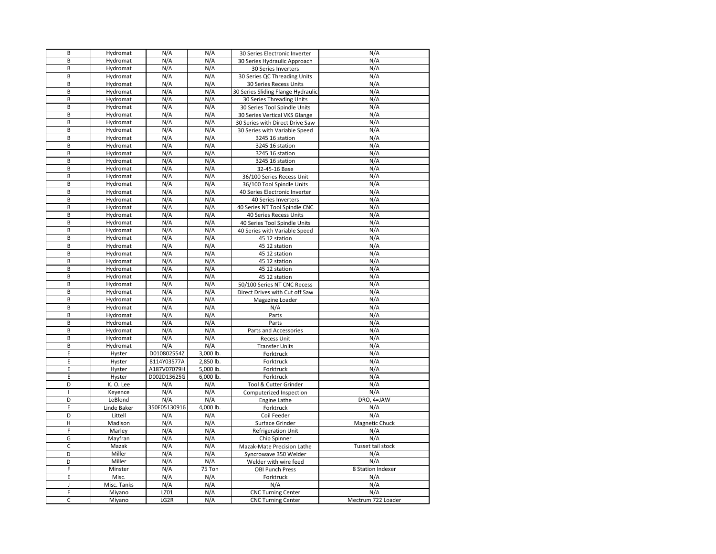| B            | Hydromat         | N/A          | N/A       | 30 Series Electronic Inverter      | N/A                |
|--------------|------------------|--------------|-----------|------------------------------------|--------------------|
| B            | Hydromat         | N/A          | N/A       | 30 Series Hydraulic Approach       | N/A                |
| B            | Hydromat         | N/A          | N/A       | 30 Series Inverters                | N/A                |
| B            | Hydromat         | N/A          | N/A       | 30 Series QC Threading Units       | N/A                |
| B            | Hydromat         | N/A          | N/A       | 30 Series Recess Units             | N/A                |
| B            | Hydromat         | N/A          | N/A       | 30 Series Sliding Flange Hydraulic | N/A                |
| B            | Hydromat         | N/A          | N/A       | 30 Series Threading Units          | N/A                |
| B            | Hydromat         | N/A          | N/A       | 30 Series Tool Spindle Units       | N/A                |
| B            | Hydromat         | N/A          | N/A       | 30 Series Vertical VKS Glange      | N/A                |
| B            | Hydromat         | N/A          | N/A       |                                    | N/A                |
| B            |                  | N/A          | N/A       | 30 Series with Direct Drive Saw    | N/A                |
|              | Hydromat         |              |           | 30 Series with Variable Speed      |                    |
| B            | Hydromat         | N/A          | N/A       | 3245 16 station                    | N/A                |
| B            | Hydromat         | N/A          | N/A       | 3245 16 station                    | N/A                |
| B            | Hydromat         | N/A          | N/A       | 3245 16 station                    | N/A                |
| B            | Hydromat         | N/A          | N/A       | 3245 16 station                    | N/A                |
| B            | Hydromat         | N/A          | N/A       | 32-45-16 Base                      | N/A                |
| B            | Hydromat         | N/A          | N/A       | 36/100 Series Recess Unit          | N/A                |
| B            | Hydromat         | N/A          | N/A       | 36/100 Tool Spindle Units          | N/A                |
| B            | Hydromat         | N/A          | N/A       | 40 Series Electronic Inverter      | N/A                |
| B            | Hydromat         | N/A          | N/A       | 40 Series Inverters                | N/A                |
| B            | Hydromat         | N/A          | N/A       | 40 Series NT Tool Spindle CNC      | N/A                |
| B            | Hydromat         | N/A          | N/A       | 40 Series Recess Units             | N/A                |
| B            | Hydromat         | N/A          | N/A       | 40 Series Tool Spindle Units       | N/A                |
| B            | Hydromat         | N/A          | N/A       | 40 Series with Variable Speed      | N/A                |
| B            | Hydromat         | N/A          | N/A       | 45 12 station                      | N/A                |
| B            | Hydromat         | N/A          | N/A       | 45 12 station                      | N/A                |
| B            | Hydromat         | N/A          | N/A       | 45 12 station                      | N/A                |
| B            | Hydromat         | N/A          | N/A       | 45 12 station                      | N/A                |
| B            | Hydromat         | N/A          | N/A       | 45 12 station                      | N/A                |
| B            | Hydromat         | N/A          | N/A       | 45 12 station                      | N/A                |
| B            | Hydromat         | N/A          | N/A       | 50/100 Series NT CNC Recess        | N/A                |
| B            | Hydromat         | N/A          | N/A       | Direct Drives with Cut off Saw     | N/A                |
| B            | Hydromat         | N/A          | N/A       | Magazine Loader                    | N/A                |
| B            | Hydromat         | N/A          | N/A       | N/A                                | N/A                |
| В            | Hydromat         | N/A          | N/A       | Parts                              | N/A                |
| B            | Hydromat         | N/A          | N/A       | Parts                              | N/A                |
| B            | Hydromat         | N/A          | N/A       | Parts and Accessories              | N/A                |
| B            | Hydromat         | N/A          | N/A       | <b>Recess Unit</b>                 | N/A                |
| B            | Hydromat         | N/A          | N/A       | <b>Transfer Units</b>              | N/A                |
| E            |                  | D010802554Z  | 3,000 lb. | Forktruck                          | N/A                |
| E            | Hyster           | 8114Y03577A  | 2.850 lb. |                                    | N/A                |
| E            | Hyster<br>Hyster | A187V07079H  | 5,000 lb. | Forktruck                          | N/A                |
| E            | Hyster           | D002D13625G  | 6,000 lb. | Forktruck                          | N/A                |
| D            |                  |              |           | Forktruck                          |                    |
|              | K.O. Lee         | N/A          | N/A       | Tool & Cutter Grinder              | N/A                |
| $\mathbf{I}$ | Keyence          | N/A          | N/A       | Computerized Inspection            | N/A                |
| D            | LeBlond          | N/A          | N/A       | Engine Lathe                       | DRO, 4=JAW         |
| E            | Linde Baker      | 350F05130916 | 4,000 lb. | Forktruck                          | N/A                |
| D            | Littell          | N/A          | N/A       | Coil Feeder                        | N/A                |
| н            | Madison          | N/A          | N/A       | Surface Grinder                    | Magnetic Chuck     |
| F            | Marley           | N/A          | N/A       | <b>Refrigeration Unit</b>          | N/A                |
| G            | Mayfran          | N/A          | N/A       | Chip Spinner                       | N/A                |
| $\mathsf C$  | Mazak            | N/A          | N/A       | Mazak-Mate Precision Lathe         | Tusset tail stock  |
| D            | Miller           | N/A          | N/A       | Syncrowave 350 Welder              | N/A                |
| D            | Miller           | N/A          | N/A       | Welder with wire feed              | N/A                |
| F            | Minster          | N/A          | 75 Ton    | <b>OBI Punch Press</b>             | 8 Station Indexer  |
| E            | Misc.            | N/A          | N/A       | Forktruck                          | N/A                |
| J            | Misc. Tanks      | N/A          | N/A       | N/A                                | N/A                |
| F            | Miyano           | LZ01         | N/A       | <b>CNC Turning Center</b>          | N/A                |
| $\mathsf{C}$ | Miyano           | LG2R         | N/A       | <b>CNC Turning Center</b>          | Mectrum 722 Loader |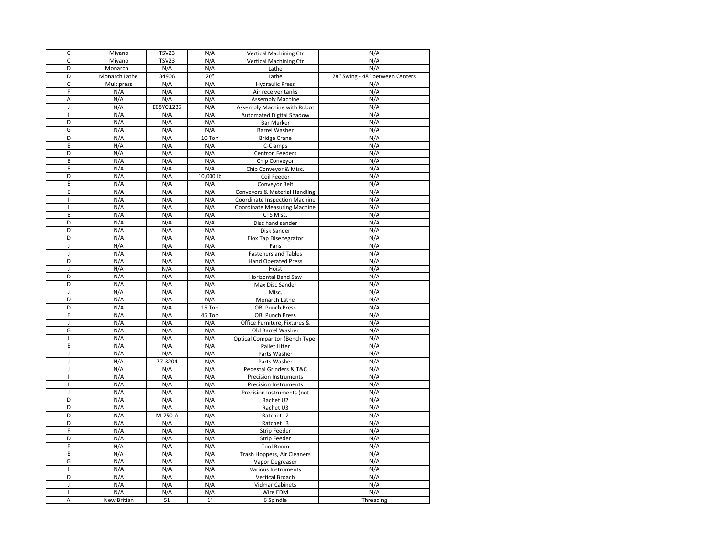| $\mathsf{C}$   | Miyano        | <b>TSV23</b> | N/A       | <b>Vertical Machining Ctr</b>          | N/A                             |
|----------------|---------------|--------------|-----------|----------------------------------------|---------------------------------|
| C              | Miyano        | <b>TSV23</b> | N/A       | <b>Vertical Machining Ctr</b>          | N/A                             |
| D              | Monarch       | N/A          | N/A       | Lathe                                  | N/A                             |
| D              | Monarch Lathe | 34906        | 20"       | Lathe                                  | 28" Swing - 48" between Centers |
| $\mathsf{C}$   | Multipress    | N/A          | N/A       | <b>Hydraulic Press</b>                 | N/A                             |
| F              | N/A           | N/A          | N/A       | Air receiver tanks                     | N/A                             |
| A              | N/A           | N/A          | N/A       | <b>Assembly Machine</b>                | N/A                             |
| $\mathbf{I}$   | N/A           | E08YO1235    | N/A       | Assembly Machine with Robot            | N/A                             |
| $\overline{1}$ | N/A           | N/A          | N/A       | <b>Automated Digital Shadow</b>        | N/A                             |
| D              | N/A           | N/A          | N/A       | <b>Bar Marker</b>                      | N/A                             |
| G              | N/A           | N/A          | N/A       | <b>Barrel Washer</b>                   | N/A                             |
| D              | N/A           | N/A          | 10 Ton    | <b>Bridge Crane</b>                    | N/A                             |
| E              | N/A           | N/A          | N/A       | C-Clamps                               | N/A                             |
| D              |               | N/A          | N/A       |                                        | N/A                             |
|                | N/A           |              |           | <b>Centron Feeders</b>                 |                                 |
| E              | N/A           | N/A          | N/A       | Chip Conveyor                          | N/A                             |
| E              | N/A           | N/A          | N/A       | Chip Conveyor & Misc.                  | N/A                             |
| D              | N/A           | N/A          | 10,000 lb | Coil Feeder                            | N/A                             |
| E              | N/A           | N/A          | N/A       | Conveyor Belt                          | N/A                             |
| E              | N/A           | N/A          | N/A       | Conveyors & Material Handling          | N/A                             |
| J.             | N/A           | N/A          | N/A       | Coordinate Inspection Machine          | N/A                             |
| $\mathbf{I}$   | N/A           | N/A          | N/A       | <b>Coordinate Measuring Machine</b>    | N/A                             |
| E              | N/A           | N/A          | N/A       | CTS Misc.                              | N/A                             |
| D              | N/A           | N/A          | N/A       | Disc hand sander                       | N/A                             |
| D              | N/A           | N/A          | N/A       | Disk Sander                            | N/A                             |
| D              | N/A           | N/A          | N/A       | <b>Elox Tap Disenegrator</b>           | N/A                             |
| J              | N/A           | N/A          | N/A       | Fans                                   | N/A                             |
| $\mathbf{I}$   | N/A           | N/A          | N/A       | <b>Fasteners and Tables</b>            | N/A                             |
| D              | N/A           | N/A          | N/A       | <b>Hand Operated Press</b>             | N/A                             |
| $\mathbf{I}$   | N/A           | N/A          | N/A       | Hoist                                  | N/A                             |
| D              | N/A           | N/A          | N/A       | Horizontal Band Saw                    | N/A                             |
| D              | N/A           | N/A          | N/A       | Max Disc Sander                        | N/A                             |
| J              | N/A           | N/A          | N/A       | Misc.                                  | N/A                             |
| D              | N/A           | N/A          | N/A       | Monarch Lathe                          | N/A                             |
| D              | N/A           | N/A          | 15 Ton    | <b>OBI Punch Press</b>                 | N/A                             |
| E              | N/A           | N/A          | 45 Ton    | <b>OBI Punch Press</b>                 | N/A                             |
| J              | N/A           | N/A          | N/A       | Office Furniture, Fixtures &           | N/A                             |
| G              | N/A           | N/A          | N/A       | Old Barrel Washer                      | N/A                             |
| J.             | N/A           | N/A          | N/A       | <b>Optical Comparitor (Bench Type)</b> | N/A                             |
| Ε              | N/A           | N/A          | N/A       | Pallet Lifter                          | N/A                             |
| J              | N/A           | N/A          | N/A       | Parts Washer                           | N/A                             |
| J              | N/A           | 77-3204      | N/A       | Parts Washer                           | N/A                             |
| J              | N/A           | N/A          | N/A       | Pedestal Grinders & T&C                | N/A                             |
| $\mathbf{I}$   | N/A           | N/A          | N/A       | <b>Precision Instruments</b>           | N/A                             |
| $\overline{1}$ | N/A           | N/A          | N/A       | <b>Precision Instruments</b>           | N/A                             |
| J              | N/A           | N/A          | N/A       | Precision Instruments (not             | N/A                             |
| D              | N/A           | N/A          | N/A       | Rachet U2                              | N/A                             |
| D              | N/A           | N/A          | N/A       | Rachet U3                              | N/A                             |
| D              | N/A           | M-750-A      | N/A       | Ratchet L2                             | N/A                             |
| D              | N/A           | N/A          | N/A       | Ratchet L3                             | N/A                             |
| F              | N/A           | N/A          | N/A       | <b>Strip Feeder</b>                    | N/A                             |
| D              | N/A           | N/A          | N/A       | Strip Feeder                           | N/A                             |
| F              | N/A           | N/A          | N/A       | <b>Tool Room</b>                       | N/A                             |
| E              | N/A           | N/A          | N/A       | Trash Hoppers, Air Cleaners            | N/A                             |
| G              | N/A           | N/A          | N/A       | Vapor Degreaser                        | N/A                             |
| $\overline{1}$ | N/A           | N/A          | N/A       | <b>Various Instruments</b>             | N/A                             |
| D              | N/A           | N/A          | N/A       | Vertical Broach                        | N/A                             |
| J              | N/A           | N/A          | N/A       | <b>Vidmar Cabinets</b>                 | N/A                             |
| $\mathbf{I}$   | N/A           | N/A          | N/A       | Wire EDM                               | N/A                             |
| A              | New Britian   | 51           | 1"        | 6 Spindle                              | Threading                       |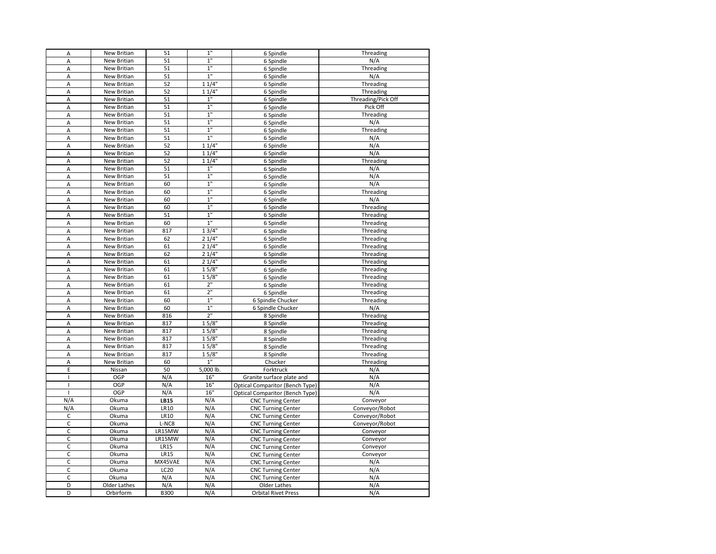| A                            | New Britian  | 51               | $1"$           | 6 Spindle                                              | Threading                        |
|------------------------------|--------------|------------------|----------------|--------------------------------------------------------|----------------------------------|
| A                            | New Britian  | 51               | $1^{\circ}$    | 6 Spindle                                              | N/A                              |
| A                            | New Britian  | 51               | $1^{\circ}$    | 6 Spindle                                              | Threading                        |
| A                            | New Britian  | 51               | 1"             | 6 Spindle                                              | N/A                              |
| Α                            | New Britian  | 52               | 11/4"          | 6 Spindle                                              | Threading                        |
| A                            | New Britian  | 52               | 11/4"          | 6 Spindle                                              | Threading                        |
| A                            | New Britian  | 51               | 1"             | 6 Spindle                                              | Threading/Pick Off               |
| Α                            | New Britian  | 51               | $1^{\circ}$    | 6 Spindle                                              | Pick Off                         |
| A                            | New Britian  | 51               | 1"             | 6 Spindle                                              | Threading                        |
| A                            | New Britian  | 51               | 1"             | 6 Spindle                                              | N/A                              |
| Α                            | New Britian  | 51               | 1"             | 6 Spindle                                              | Threading                        |
| Α                            | New Britian  | 51               | $1^{\circ}$    | 6 Spindle                                              | N/A                              |
| A                            | New Britian  | 52               | 11/4"          | 6 Spindle                                              | N/A                              |
| A                            | New Britian  | 52               | 11/4"          | 6 Spindle                                              | N/A                              |
| Α                            | New Britian  | 52               | 11/4"          | 6 Spindle                                              | Threading                        |
| A                            | New Britian  | 51               | $1"$           | 6 Spindle                                              | N/A                              |
| A                            | New Britian  | 51               | 1"             | 6 Spindle                                              | N/A                              |
| Α                            | New Britian  | 60               | 1"             | 6 Spindle                                              | N/A                              |
| Α                            | New Britian  | 60               | $1^{\circ}$    | 6 Spindle                                              | Threading                        |
| A                            | New Britian  | 60               | 1"             | 6 Spindle                                              | N/A                              |
| A                            | New Britian  | 60               | $1^{\circ}$    | 6 Spindle                                              | Threading                        |
| Α                            | New Britian  | 51               | 1"             | 6 Spindle                                              | Threading                        |
| A                            | New Britian  | 60               | 1 <sup>0</sup> | 6 Spindle                                              | Threading                        |
| A                            | New Britian  | 817              | 13/4"          | 6 Spindle                                              | Threading                        |
| A                            | New Britian  | 62               | 21/4"          | 6 Spindle                                              | Threading                        |
| Α                            | New Britian  | 61               | 21/4"          | 6 Spindle                                              | Threading                        |
| A                            | New Britian  | 62               | 21/4"          | 6 Spindle                                              | Threading                        |
| A                            | New Britian  | 61               | 21/4"          | 6 Spindle                                              | Threading                        |
| Α                            | New Britian  | 61               | 15/8"          | 6 Spindle                                              | Threading                        |
| A                            | New Britian  | 61               | $15/8$ "       | 6 Spindle                                              | Threading                        |
| A                            | New Britian  | 61               | 2"             | 6 Spindle                                              | Threading                        |
| A                            | New Britian  | 61               | 2"             | 6 Spindle                                              | Threading                        |
| Α                            | New Britian  | 60               | 1 <sup>0</sup> | 6 Spindle Chucker                                      | Threading                        |
| A                            | New Britian  | 60               | 1"             | 6 Spindle Chucker                                      | N/A                              |
| A                            | New Britian  | 816              | 2 <sup>n</sup> | 8 Spindle                                              | Threading                        |
| Α                            | New Britian  | 817              | 15/8"          | 8 Spindle                                              | Threading                        |
| A                            | New Britian  | 817              | 15/8"          | 8 Spindle                                              | Threading                        |
| A                            | New Britian  | 817              | 15/8"          | 8 Spindle                                              | Threading                        |
| A                            | New Britian  | 817              | 15/8"          | 8 Spindle                                              | Threading                        |
| Α                            | New Britian  | 817              | $15/8$ "       | 8 Spindle                                              | Threading                        |
| A                            | New Britian  | 60               | 1"             | Chucker                                                | Threading                        |
| E                            | Nissan       | 50               | 5,000 lb.      | Forktruck                                              | N/A                              |
| $\mathbf{I}$                 | OGP<br>OGP   | N/A              | 16"<br>16"     | Granite surface plate and                              | N/A                              |
| $\mathbf{I}$<br>$\mathbf{I}$ | OGP          | N/A              | 16"            | Optical Comparitor (Bench Type)                        | N/A                              |
| N/A                          | Okuma        | N/A<br>LB15      | N/A            | Optical Comparitor (Bench Type)                        | N/A                              |
|                              | Okuma        | <b>LR10</b>      |                | <b>CNC Turning Center</b>                              | Conveyor                         |
| N/A<br>$\mathsf C$           | Okuma        | <b>LR10</b>      | N/A<br>N/A     | <b>CNC Turning Center</b><br><b>CNC Turning Center</b> | Conveyor/Robot<br>Conveyor/Robot |
| $\mathsf C$                  | Okuma        | L-NC8            | N/A            | <b>CNC Turning Center</b>                              | Conveyor/Robot                   |
| $\mathsf C$                  | Okuma        | LR15MW           | N/A            | <b>CNC Turning Center</b>                              | Conveyor                         |
| $\mathsf C$                  | Okuma        | LR15MW           | N/A            | <b>CNC Turning Center</b>                              | Conveyor                         |
| $\mathsf C$                  | Okuma        | <b>LR15</b>      | N/A            | <b>CNC Turning Center</b>                              | Conveyor                         |
| $\mathsf C$                  | Okuma        | <b>LR15</b>      | N/A            | <b>CNC Turning Center</b>                              | Conveyor                         |
| C                            | Okuma        | MX45VAE          | N/A            | <b>CNC Turning Center</b>                              | N/A                              |
| C                            | Okuma        | LC <sub>20</sub> | N/A            | <b>CNC Turning Center</b>                              | N/A                              |
| $\mathsf C$                  | Okuma        | N/A              | N/A            | <b>CNC Turning Center</b>                              | N/A                              |
| D                            | Older Lathes | N/A              | N/A            | Older Lathes                                           | N/A                              |
| D                            | Orbirform    | <b>B300</b>      | N/A            | <b>Orbital Rivet Press</b>                             | N/A                              |